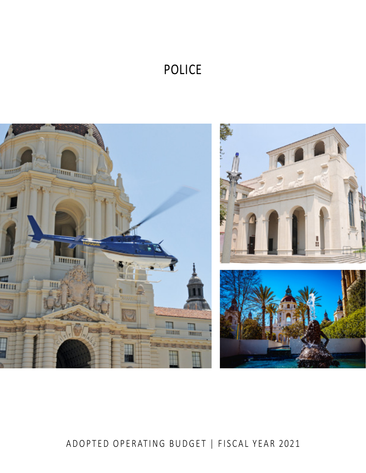# POLICE



# ADOPTED OPERATING BUDGET | FISCAL YEAR 2021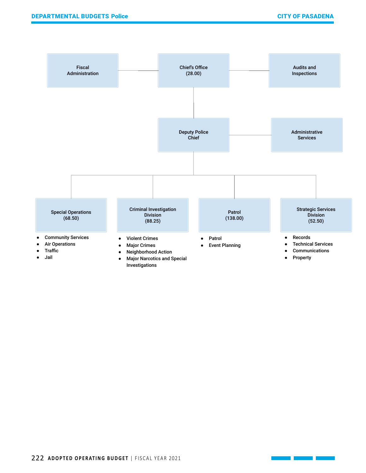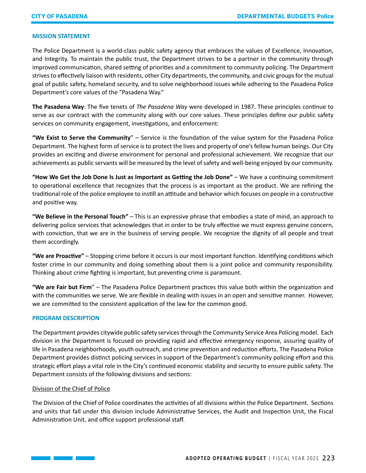# **MISSION STATEMENT**

The Police Department is a world-class public safety agency that embraces the values of Excellence, Innovation, and Integrity. To maintain the public trust, the Department strives to be a partner in the community through improved communication, shared setting of priorities and a commitment to community policing. The Department strives to effectively liaison with residents, other City departments, the community, and civic groups for the mutual goal of public safety, homeland security, and to solve neighborhood issues while adhering to the Pasadena Police Department's core values of the "Pasadena Way."

**The Pasadena Way**: The five tenets of *The Pasadena Way* were developed in 1987. These principles continue to serve as our contract with the community along with our core values. These principles define our public safety services on community engagement, investigations, and enforcement:

**"We Exist to Serve the Community**" – Service is the foundation of the value system for the Pasadena Police Department. The highest form of service is to protect the lives and property of one's fellow human beings. Our City provides an exciting and diverse environment for personal and professional achievement. We recognize that our achievements as public servants will be measured by the level of safety and well-being enjoyed by our community.

**"How We Get the Job Done Is Just as Important as Getting the Job Done"** – We have a continuing commitment to operational excellence that recognizes that the process is as important as the product. We are refining the traditional role of the police employee to instill an attitude and behavior which focuses on people in a constructive and positive way.

**"We Believe in the Personal Touch"** – This is an expressive phrase that embodies a state of mind, an approach to delivering police services that acknowledges that in order to be truly effective we must express genuine concern, with conviction, that we are in the business of serving people. We recognize the dignity of all people and treat them accordingly.

**"We are Proactive"** – Stopping crime before it occurs is our most important function. Identifying conditions which foster crime in our community and doing something about them is a joint police and community responsibility. Thinking about crime fighting is important, but preventing crime is paramount.

**"We are Fair but Firm**" – The Pasadena Police Department practices this value both within the organization and with the communities we serve. We are flexible in dealing with issues in an open and sensitive manner. However, we are committed to the consistent application of the law for the common good.

# **PROGRAM DESCRIPTION**

The Department provides citywide public safety services through the Community Service Area Policing model. Each division in the Department is focused on providing rapid and effective emergency response, assuring quality of life in Pasadena neighborhoods, youth outreach, and crime prevention and reduction efforts. The Pasadena Police Department provides distinct policing services in support of the Department's community policing effort and this strategic effort plays a vital role in the City's continued economic stability and security to ensure public safety. The Department consists of the following divisions and sections:

#### Division of the Chief of Police

The Division of the Chief of Police coordinates the activities of all divisions within the Police Department. Sections and units that fall under this division include Administrative Services, the Audit and Inspection Unit, the Fiscal Administration Unit, and office support professional staff.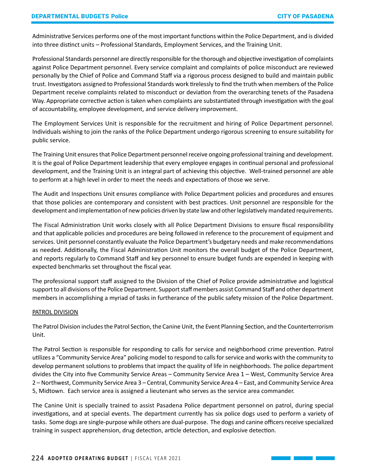Administrative Services performs one of the most important functions within the Police Department, and is divided into three distinct units – Professional Standards, Employment Services, and the Training Unit.

Professional Standards personnel are directly responsible for the thorough and objective investigation of complaints against Police Department personnel. Every service complaint and complaints of police misconduct are reviewed personally by the Chief of Police and Command Staff via a rigorous process designed to build and maintain public trust. Investigators assigned to Professional Standards work tirelessly to find the truth when members of the Police Department receive complaints related to misconduct or deviation from the overarching tenets of the Pasadena Way. Appropriate corrective action is taken when complaints are substantiated through investigation with the goal of accountability, employee development, and service delivery improvement.

The Employment Services Unit is responsible for the recruitment and hiring of Police Department personnel. Individuals wishing to join the ranks of the Police Department undergo rigorous screening to ensure suitability for public service.

The Training Unit ensures that Police Department personnel receive ongoing professional training and development. It is the goal of Police Department leadership that every employee engages in continual personal and professional development, and the Training Unit is an integral part of achieving this objective. Well-trained personnel are able to perform at a high level in order to meet the needs and expectations of those we serve.

The Audit and Inspections Unit ensures compliance with Police Department policies and procedures and ensures that those policies are contemporary and consistent with best practices. Unit personnel are responsible for the development and implementation of new policies driven by state law and other legislatively mandated requirements.

The Fiscal Administration Unit works closely with all Police Department Divisions to ensure fiscal responsibility and that applicable policies and procedures are being followed in reference to the procurement of equipment and services. Unit personnel constantly evaluate the Police Department's budgetary needs and make recommendations as needed. Additionally, the Fiscal Administration Unit monitors the overall budget of the Police Department, and reports regularly to Command Staff and key personnel to ensure budget funds are expended in keeping with expected benchmarks set throughout the fiscal year.

The professional support staff assigned to the Division of the Chief of Police provide administrative and logistical support to all divisions of the Police Department. Support staff members assist Command Staff and other department members in accomplishing a myriad of tasks in furtherance of the public safety mission of the Police Department.

# PATROL DIVISION

The Patrol Division includes the Patrol Section, the Canine Unit, the Event Planning Section, and the Counterterrorism Unit.

The Patrol Section is responsible for responding to calls for service and neighborhood crime prevention. Patrol utilizes a "Community Service Area" policing model to respond to calls for service and works with the community to develop permanent solutions to problems that impact the quality of life in neighborhoods. The police department divides the City into five Community Service Areas – Community Service Area 1 – West, Community Service Area 2 – Northwest, Community Service Area 3 – Central, Community Service Area 4 – East, and Community Service Area 5, Midtown. Each service area is assigned a lieutenant who serves as the service area commander.

The Canine Unit is specially trained to assist Pasadena Police department personnel on patrol, during special investigations, and at special events. The department currently has six police dogs used to perform a variety of tasks. Some dogs are single-purpose while others are dual-purpose. The dogs and canine officers receive specialized training in suspect apprehension, drug detection, article detection, and explosive detection.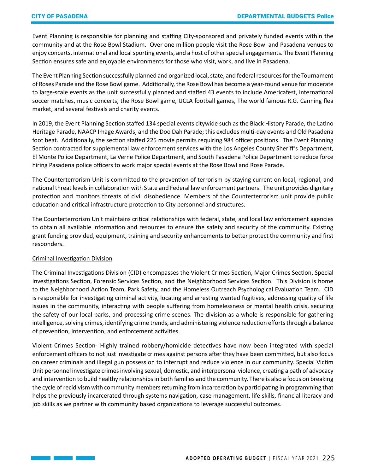Event Planning is responsible for planning and staffing City-sponsored and privately funded events within the community and at the Rose Bowl Stadium. Over one million people visit the Rose Bowl and Pasadena venues to enjoy concerts, international and local sporting events, and a host of other special engagements. The Event Planning Section ensures safe and enjoyable environments for those who visit, work, and live in Pasadena.

The Event Planning Section successfully planned and organized local, state, and federal resources for the Tournament of Roses Parade and the Rose Bowl game. Additionally, the Rose Bowl has become a year-round venue for moderate to large-scale events as the unit successfully planned and staffed 43 events to include Americafest, international soccer matches, music concerts, the Rose Bowl game, UCLA football games, The world famous R.G. Canning flea market, and several festivals and charity events.

In 2019, the Event Planning Section staffed 134 special events citywide such as the Black History Parade, the Latino Heritage Parade, NAACP Image Awards, and the Doo Dah Parade; this excludes multi-day events and Old Pasadena foot beat. Additionally, the section staffed 225 movie permits requiring 984 officer positions. The Event Planning Section contracted for supplemental law enforcement services with the Los Angeles County Sheriff's Department, El Monte Police Department, La Verne Police Department, and South Pasadena Police Department to reduce force hiring Pasadena police officers to work major special events at the Rose Bowl and Rose Parade.

The Counterterrorism Unit is committed to the prevention of terrorism by staying current on local, regional, and national threat levels in collaboration with State and Federal law enforcement partners. The unit provides dignitary protection and monitors threats of civil disobedience. Members of the Counterterrorism unit provide public education and critical infrastructure protection to City personnel and structures.

The Counterterrorism Unit maintains critical relationships with federal, state, and local law enforcement agencies to obtain all available information and resources to ensure the safety and security of the community. Existing grant funding provided, equipment, training and security enhancements to better protect the community and first responders.

# Criminal Investigation Division

 $\mathcal{L}(\mathcal{L}^{\text{max}})$ 

The Criminal Investigations Division (CID) encompasses the Violent Crimes Section, Major Crimes Section, Special Investigations Section, Forensic Services Section, and the Neighborhood Services Section. This Division is home to the Neighborhood Action Team, Park Safety, and the Homeless Outreach Psychological Evaluation Team. CID is responsible for investigating criminal activity, locating and arresting wanted fugitives, addressing quality of life issues in the community, interacting with people suffering from homelessness or mental health crisis, securing the safety of our local parks, and processing crime scenes. The division as a whole is responsible for gathering intelligence, solving crimes, identifying crime trends, and administering violence reduction efforts through a balance of prevention, intervention, and enforcement activities.

Violent Crimes Section- Highly trained robbery/homicide detectives have now been integrated with special enforcement officers to not just investigate crimes against persons after they have been committed, but also focus on career criminals and illegal gun possession to interrupt and reduce violence in our community. Special Victim Unit personnel investigate crimes involving sexual, domestic, and interpersonal violence, creating a path of advocacy and intervention to build healthy relationships in both families and the community. There is also a focus on breaking the cycle of recidivism with community members returning from incarceration by participating in programming that helps the previously incarcerated through systems navigation, case management, life skills, financial literacy and job skills as we partner with community based organizations to leverage successful outcomes.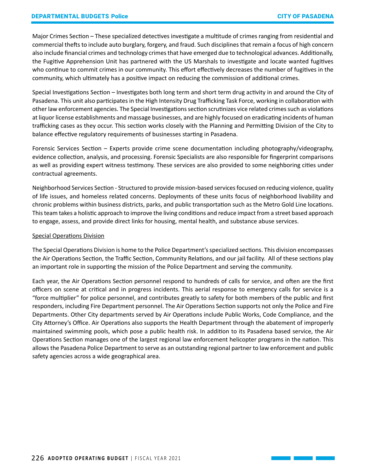Major Crimes Section – These specialized detectives investigate a multitude of crimes ranging from residential and commercial thefts to include auto burglary, forgery, and fraud. Such disciplines that remain a focus of high concern also include financial crimes and technology crimes that have emerged due to technological advances. Additionally, the Fugitive Apprehension Unit has partnered with the US Marshals to investigate and locate wanted fugitives who continue to commit crimes in our community. This effort effectively decreases the number of fugitives in the community, which ultimately has a positive impact on reducing the commission of additional crimes.

Special Investigations Section – Investigates both long term and short term drug activity in and around the City of Pasadena. This unit also participates in the High Intensity Drug Trafficking Task Force, working in collaboration with other law enforcement agencies. The Special Investigations section scrutinizes vice related crimes such as violations at liquor license establishments and massage businesses, and are highly focused on eradicating incidents of human trafficking cases as they occur. This section works closely with the Planning and Permitting Division of the City to balance effective regulatory requirements of businesses starting in Pasadena.

Forensic Services Section – Experts provide crime scene documentation including photography/videography, evidence collection, analysis, and processing. Forensic Specialists are also responsible for fingerprint comparisons as well as providing expert witness testimony. These services are also provided to some neighboring cities under contractual agreements.

Neighborhood Services Section - Structured to provide mission-based services focused on reducing violence, quality of life issues, and homeless related concerns. Deployments of these units focus of neighborhood livability and chronic problems within business districts, parks, and public transportation such as the Metro Gold Line locations. This team takes a holistic approach to improve the living conditions and reduce impact from a street based approach to engage, assess, and provide direct links for housing, mental health, and substance abuse services.

#### Special Operations Division

The Special Operations Division is home to the Police Department's specialized sections. This division encompasses the Air Operations Section, the Traffic Section, Community Relations, and our jail facility. All of these sections play an important role in supporting the mission of the Police Department and serving the community.

Each year, the Air Operations Section personnel respond to hundreds of calls for service, and often are the first officers on scene at critical and in progress incidents. This aerial response to emergency calls for service is a "force multiplier" for police personnel, and contributes greatly to safety for both members of the public and first responders, including Fire Department personnel. The Air Operations Section supports not only the Police and Fire Departments. Other City departments served by Air Operations include Public Works, Code Compliance, and the City Attorney's Office. Air Operations also supports the Health Department through the abatement of improperly maintained swimming pools, which pose a public health risk. In addition to its Pasadena based service, the Air Operations Section manages one of the largest regional law enforcement helicopter programs in the nation. This allows the Pasadena Police Department to serve as an outstanding regional partner to law enforcement and public safety agencies across a wide geographical area.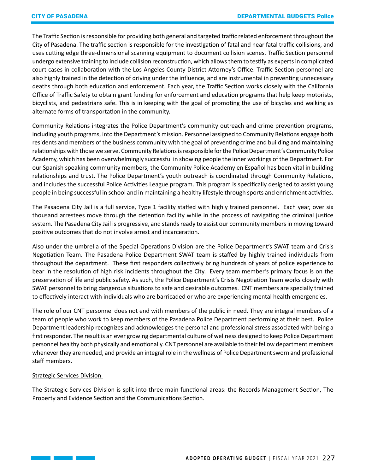The Traffic Section is responsible for providing both general and targeted traffic related enforcement throughout the City of Pasadena. The traffic section is responsible for the investigation of fatal and near fatal traffic collisions, and uses cutting edge three-dimensional scanning equipment to document collision scenes. Traffic Section personnel undergo extensive training to include collision reconstruction, which allows them to testify as experts in complicated court cases in collaboration with the Los Angeles County District Attorney's Office. Traffic Section personnel are also highly trained in the detection of driving under the influence, and are instrumental in preventing unnecessary deaths through both education and enforcement. Each year, the Traffic Section works closely with the California Office of Traffic Safety to obtain grant funding for enforcement and education programs that help keep motorists, bicyclists, and pedestrians safe. This is in keeping with the goal of promoting the use of bicycles and walking as alternate forms of transportation in the community.

Community Relations integrates the Police Department's community outreach and crime prevention programs, including youth programs, into the Department's mission. Personnel assigned to Community Relations engage both residents and members of the business community with the goal of preventing crime and building and maintaining relationships with those we serve. Community Relations is responsible for the Police Department's Community Police Academy, which has been overwhelmingly successful in showing people the inner workings of the Department. For our Spanish speaking community members, the Community Police Academy en Español has been vital in building relationships and trust. The Police Department's youth outreach is coordinated through Community Relations, and includes the successful Police Activities League program. This program is specifically designed to assist young people in being successful in school and in maintaining a healthy lifestyle through sports and enrichment activities.

The Pasadena City Jail is a full service, Type 1 facility staffed with highly trained personnel. Each year, over six thousand arrestees move through the detention facility while in the process of navigating the criminal justice system. The Pasadena City Jail is progressive, and stands ready to assist our community members in moving toward positive outcomes that do not involve arrest and incarceration.

Also under the umbrella of the Special Operations Division are the Police Department's SWAT team and Crisis Negotiation Team. The Pasadena Police Department SWAT team is staffed by highly trained individuals from throughout the department. These first responders collectively bring hundreds of years of police experience to bear in the resolution of high risk incidents throughout the City. Every team member's primary focus is on the preservation of life and public safety. As such, the Police Department's Crisis Negotiation Team works closely with SWAT personnel to bring dangerous situations to safe and desirable outcomes. CNT members are specially trained to effectively interact with individuals who are barricaded or who are experiencing mental health emergencies.

The role of our CNT personnel does not end with members of the public in need. They are integral members of a team of people who work to keep members of the Pasadena Police Department performing at their best. Police Department leadership recognizes and acknowledges the personal and professional stress associated with being a first responder. The result is an ever growing departmental culture of wellness designed to keep Police Department personnel healthy both physically and emotionally. CNT personnel are available to their fellow department members whenever they are needed, and provide an integral role in the wellness of Police Department sworn and professional staff members.

# Strategic Services Division

The Strategic Services Division is split into three main functional areas: the Records Management Section, The Property and Evidence Section and the Communications Section.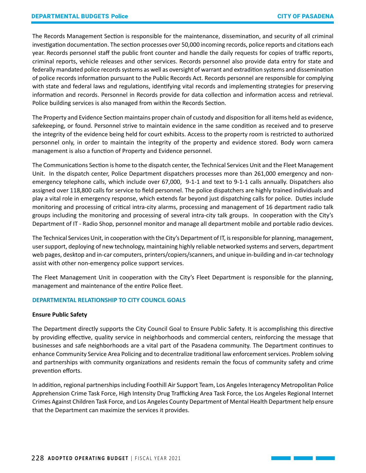The Records Management Section is responsible for the maintenance, dissemination, and security of all criminal investigation documentation. The section processes over 50,000 incoming records, police reports and citations each year. Records personnel staff the public front counter and handle the daily requests for copies of traffic reports, criminal reports, vehicle releases and other services. Records personnel also provide data entry for state and federally mandated police records systems as well as oversight of warrant and extradition systems and dissemination of police records information pursuant to the Public Records Act. Records personnel are responsible for complying with state and federal laws and regulations, identifying vital records and implementing strategies for preserving information and records. Personnel in Records provide for data collection and information access and retrieval. Police building services is also managed from within the Records Section.

The Property and Evidence Section maintains proper chain of custody and disposition for all items held as evidence, safekeeping, or found. Personnel strive to maintain evidence in the same condition as received and to preserve the integrity of the evidence being held for court exhibits. Access to the property room is restricted to authorized personnel only, in order to maintain the integrity of the property and evidence stored. Body worn camera management is also a function of Property and Evidence personnel.

The Communications Section is home to the dispatch center, the Technical Services Unit and the Fleet Management Unit. In the dispatch center, Police Department dispatchers processes more than 261,000 emergency and nonemergency telephone calls, which include over 67,000, 9-1-1 and text to 9-1-1 calls annually. Dispatchers also assigned over 118,800 calls for service to field personnel. The police dispatchers are highly trained individuals and play a vital role in emergency response, which extends far beyond just dispatching calls for police. Duties include monitoring and processing of critical intra-city alarms, processing and management of 16 department radio talk groups including the monitoring and processing of several intra-city talk groups. In cooperation with the City's Department of IT - Radio Shop, personnel monitor and manage all department mobile and portable radio devices.

The Technical Services Unit, in cooperation with the City's Department of IT, is responsible for planning, management, user support, deploying of new technology, maintaining highly reliable networked systems and servers, department web pages, desktop and in-car computers, printers/copiers/scanners, and unique in-building and in-car technology assist with other non-emergency police support services.

The Fleet Management Unit in cooperation with the City's Fleet Department is responsible for the planning, management and maintenance of the entire Police fleet.

# **DEPARTMENTAL RELATIONSHIP TO CITY COUNCIL GOALS**

# **Ensure Public Safety**

The Department directly supports the City Council Goal to Ensure Public Safety. It is accomplishing this directive by providing effective, quality service in neighborhoods and commercial centers, reinforcing the message that businesses and safe neighborhoods are a vital part of the Pasadena community. The Department continues to enhance Community Service Area Policing and to decentralize traditional law enforcement services. Problem solving and partnerships with community organizations and residents remain the focus of community safety and crime prevention efforts.

In addition, regional partnerships including Foothill Air Support Team, Los Angeles Interagency Metropolitan Police Apprehension Crime Task Force, High Intensity Drug Trafficking Area Task Force, the Los Angeles Regional Internet Crimes Against Children Task Force, and Los Angeles County Department of Mental Health Department help ensure that the Department can maximize the services it provides.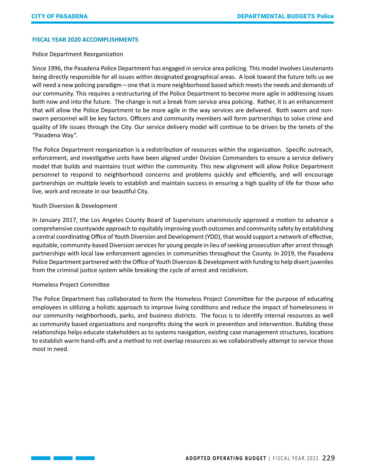## **FISCAL YEAR 2020 ACCOMPLISHMENTS**

### Police Department Reorganization

Since 1996, the Pasadena Police Department has engaged in service area policing. This model involves Lieutenants being directly responsible for all issues within designated geographical areas. A look toward the future tells us we will need a new policing paradigm – one that is more neighborhood based which meets the needs and demands of our community. This requires a restructuring of the Police Department to become more agile in addressing issues both now and into the future. The change is not a break from service area policing. Rather, it is an enhancement that will allow the Police Department to be more agile in the way services are delivered. Both sworn and nonsworn personnel will be key factors. Officers and community members will form partnerships to solve crime and quality of life issues through the City. Our service delivery model will continue to be driven by the tenets of the "Pasadena Way".

The Police Department reorganization is a redistribution of resources within the organization. Specific outreach, enforcement, and investigative units have been aligned under Division Commanders to ensure a service delivery model that builds and maintains trust within the community. This new alignment will allow Police Department personnel to respond to neighborhood concerns and problems quickly and efficiently, and will encourage partnerships on multiple levels to establish and maintain success in ensuring a high quality of life for those who live, work and recreate in our beautiful City.

# Youth Diversion & Development

In January 2017, the Los Angeles County Board of Supervisors unanimously approved a motion to advance a comprehensive countywide approach to equitably improving youth outcomes and community safety by establishing a central coordinating Office of Youth Diversion and Development (YDD), that would support a network of effective, equitable, community-based Diversion services for young people in lieu of seeking prosecution after arrest through partnerships with local law enforcement agencies in communities throughout the County. In 2019, the Pasadena Police Department partnered with the Office of Youth Diversion & Development with funding to help divert juveniles from the criminal justice system while breaking the cycle of arrest and recidivism.

# Homeless Project Committee

The Police Department has collaborated to form the Homeless Project Committee for the purpose of educating employees in utilizing a holistic approach to improve living conditions and reduce the impact of homelessness in our community neighborhoods, parks, and business districts. The focus is to identify internal resources as well as community based organizations and nonprofits doing the work in prevention and intervention. Building these relationships helps educate stakeholders as to systems navigation, existing case management structures, locations to establish warm hand-offs and a method to not overlap resources as we collaboratively attempt to service those most in need.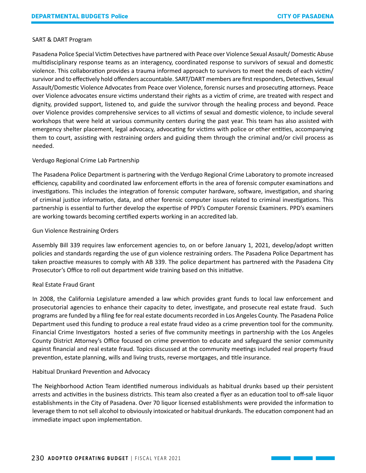### SART & DART Program

Pasadena Police Special Victim Detectives have partnered with Peace over Violence Sexual Assault/ Domestic Abuse multidisciplinary response teams as an interagency, coordinated response to survivors of sexual and domestic violence. This collaboration provides a trauma informed approach to survivors to meet the needs of each victim/ survivor and to effectively hold offenders accountable. SART/DART members are first responders, Detectives, Sexual Assault/Domestic Violence Advocates from Peace over Violence, forensic nurses and prosecuting attorneys. Peace over Violence advocates ensure victims understand their rights as a victim of crime, are treated with respect and dignity, provided support, listened to, and guide the survivor through the healing process and beyond. Peace over Violence provides comprehensive services to all victims of sexual and domestic violence, to include several workshops that were held at various community centers during the past year. This team has also assisted with emergency shelter placement, legal advocacy, advocating for victims with police or other entities, accompanying them to court, assisting with restraining orders and guiding them through the criminal and/or civil process as needed.

# Verdugo Regional Crime Lab Partnership

The Pasadena Police Department is partnering with the Verdugo Regional Crime Laboratory to promote increased efficiency, capability and coordinated law enforcement efforts in the area of forensic computer examinations and investigations. This includes the integration of forensic computer hardware, software, investigation, and sharing of criminal justice information, data, and other forensic computer issues related to criminal investigations. This partnership is essential to further develop the expertise of PPD's Computer Forensic Examiners. PPD's examiners are working towards becoming certified experts working in an accredited lab.

#### Gun Violence Restraining Orders

Assembly Bill 339 requires law enforcement agencies to, on or before January 1, 2021, develop/adopt written policies and standards regarding the use of gun violence restraining orders. The Pasadena Police Department has taken proactive measures to comply with AB 339. The police department has partnered with the Pasadena City Prosecutor's Office to roll out department wide training based on this initiative.

# Real Estate Fraud Grant

In 2008, the California Legislature amended a law which provides grant funds to local law enforcement and prosecutorial agencies to enhance their capacity to deter, investigate, and prosecute real estate fraud. Such programs are funded by a filing fee for real estate documents recorded in Los Angeles County. The Pasadena Police Department used this funding to produce a real estate fraud video as a crime prevention tool for the community. Financial Crime Investigators hosted a series of five community meetings in partnership with the Los Angeles County District Attorney's Office focused on crime prevention to educate and safeguard the senior community against financial and real estate fraud. Topics discussed at the community meetings included real property fraud prevention, estate planning, wills and living trusts, reverse mortgages, and title insurance.

#### Habitual Drunkard Prevention and Advocacy

The Neighborhood Action Team identified numerous individuals as habitual drunks based up their persistent arrests and activities in the business districts. This team also created a flyer as an education tool to off-sale liquor establishments in the City of Pasadena. Over 70 liquor licensed establishments were provided the information to leverage them to not sell alcohol to obviously intoxicated or habitual drunkards. The education component had an immediate impact upon implementation.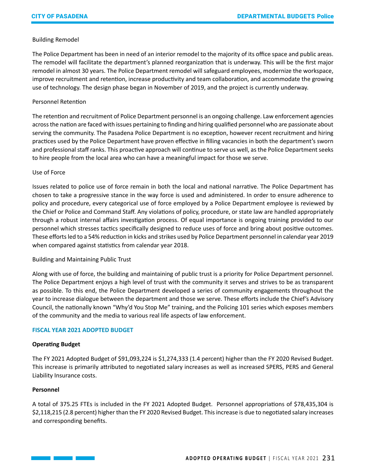# Building Remodel

The Police Department has been in need of an interior remodel to the majority of its office space and public areas. The remodel will facilitate the department's planned reorganization that is underway. This will be the first major remodel in almost 30 years. The Police Department remodel will safeguard employees, modernize the workspace, improve recruitment and retention, increase productivity and team collaboration, and accommodate the growing use of technology. The design phase began in November of 2019, and the project is currently underway.

# Personnel Retention

The retention and recruitment of Police Department personnel is an ongoing challenge. Law enforcement agencies across the nation are faced with issues pertaining to finding and hiring qualified personnel who are passionate about serving the community. The Pasadena Police Department is no exception, however recent recruitment and hiring practices used by the Police Department have proven effective in filling vacancies in both the department's sworn and professional staff ranks. This proactive approach will continue to serve us well, as the Police Department seeks to hire people from the local area who can have a meaningful impact for those we serve.

# Use of Force

Issues related to police use of force remain in both the local and national narrative. The Police Department has chosen to take a progressive stance in the way force is used and administered. In order to ensure adherence to policy and procedure, every categorical use of force employed by a Police Department employee is reviewed by the Chief or Police and Command Staff. Any violations of policy, procedure, or state law are handled appropriately through a robust internal affairs investigation process. Of equal importance is ongoing training provided to our personnel which stresses tactics specifically designed to reduce uses of force and bring about positive outcomes. These efforts led to a 54% reduction in kicks and strikes used by Police Department personnel in calendar year 2019 when compared against statistics from calendar year 2018.

# Building and Maintaining Public Trust

Along with use of force, the building and maintaining of public trust is a priority for Police Department personnel. The Police Department enjoys a high level of trust with the community it serves and strives to be as transparent as possible. To this end, the Police Department developed a series of community engagements throughout the year to increase dialogue between the department and those we serve. These efforts include the Chief's Advisory Council, the nationally known "Why'd You Stop Me" training, and the Policing 101 series which exposes members of the community and the media to various real life aspects of law enforcement.

# **FISCAL YEAR 2021 ADOPTED BUDGET**

# **Operating Budget**

 $\mathcal{L}(\mathcal{L}^{\mathcal{L}}_{\mathcal{L}})$  , where  $\mathcal{L}^{\mathcal{L}}_{\mathcal{L}}$ 

The FY 2021 Adopted Budget of \$91,093,224 is \$1,274,333 (1.4 percent) higher than the FY 2020 Revised Budget. This increase is primarily attributed to negotiated salary increases as well as increased SPERS, PERS and General Liability Insurance costs.

# **Personnel**

A total of 375.25 FTEs is included in the FY 2021 Adopted Budget. Personnel appropriations of \$78,435,304 is \$2,118,215 (2.8 percent) higher than the FY 2020 Revised Budget. This increase is due to negotiated salary increases and corresponding benefits.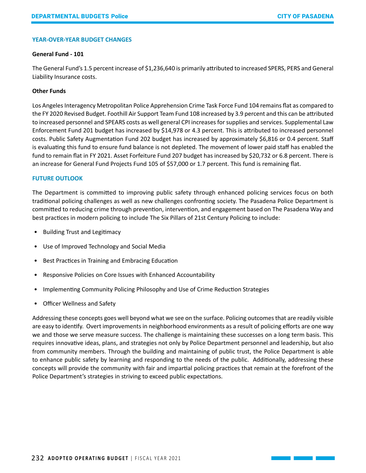#### **YEAR-OVER-YEAR BUDGET CHANGES**

#### **General Fund - 101**

The General Fund's 1.5 percent increase of \$1,236,640 is primarily attributed to increased SPERS, PERS and General Liability Insurance costs.

#### **Other Funds**

Los Angeles Interagency Metropolitan Police Apprehension Crime Task Force Fund 104 remains flat as compared to the FY 2020 Revised Budget. Foothill Air Support Team Fund 108 increased by 3.9 percent and this can be attributed to increased personnel and SPEARS costs as well general CPI increases for supplies and services. Supplemental Law Enforcement Fund 201 budget has increased by \$14,978 or 4.3 percent. This is attributed to increased personnel costs. Public Safety Augmentation Fund 202 budget has increased by approximately \$6,816 or 0.4 percent. Staff is evaluating this fund to ensure fund balance is not depleted. The movement of lower paid staff has enabled the fund to remain flat in FY 2021. Asset Forfeiture Fund 207 budget has increased by \$20,732 or 6.8 percent. There is an increase for General Fund Projects Fund 105 of \$57,000 or 1.7 percent. This fund is remaining flat.

#### **FUTURE OUTLOOK**

The Department is committed to improving public safety through enhanced policing services focus on both traditional policing challenges as well as new challenges confronting society. The Pasadena Police Department is committed to reducing crime through prevention, intervention, and engagement based on The Pasadena Way and best practices in modern policing to include The Six Pillars of 21st Century Policing to include:

- Building Trust and Legitimacy
- Use of Improved Technology and Social Media
- Best Practices in Training and Embracing Education
- Responsive Policies on Core Issues with Enhanced Accountability
- Implementing Community Policing Philosophy and Use of Crime Reduction Strategies
- Officer Wellness and Safety

Addressing these concepts goes well beyond what we see on the surface. Policing outcomes that are readily visible are easy to identify. Overt improvements in neighborhood environments as a result of policing efforts are one way we and those we serve measure success. The challenge is maintaining these successes on a long term basis. This requires innovative ideas, plans, and strategies not only by Police Department personnel and leadership, but also from community members. Through the building and maintaining of public trust, the Police Department is able to enhance public safety by learning and responding to the needs of the public. Additionally, addressing these concepts will provide the community with fair and impartial policing practices that remain at the forefront of the Police Department's strategies in striving to exceed public expectations.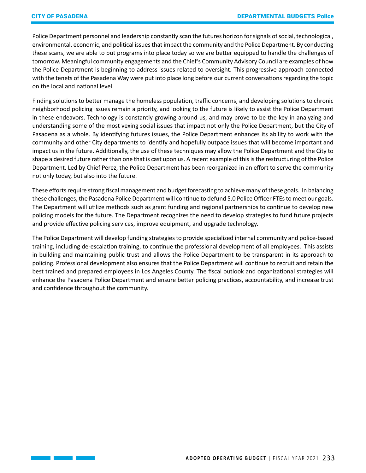Police Department personnel and leadership constantly scan the futures horizon for signals of social, technological, environmental, economic, and political issues that impact the community and the Police Department. By conducting these scans, we are able to put programs into place today so we are better equipped to handle the challenges of tomorrow. Meaningful community engagements and the Chief's Community Advisory Council are examples of how the Police Department is beginning to address issues related to oversight. This progressive approach connected with the tenets of the Pasadena Way were put into place long before our current conversations regarding the topic on the local and national level.

Finding solutions to better manage the homeless population, traffic concerns, and developing solutions to chronic neighborhood policing issues remain a priority, and looking to the future is likely to assist the Police Department in these endeavors. Technology is constantly growing around us, and may prove to be the key in analyzing and understanding some of the most vexing social issues that impact not only the Police Department, but the City of Pasadena as a whole. By identifying futures issues, the Police Department enhances its ability to work with the community and other City departments to identify and hopefully outpace issues that will become important and impact us in the future. Additionally, the use of these techniques may allow the Police Department and the City to shape a desired future rather than one that is cast upon us. A recent example of this is the restructuring of the Police Department. Led by Chief Perez, the Police Department has been reorganized in an effort to serve the community not only today, but also into the future.

These efforts require strong fiscal management and budget forecasting to achieve many of these goals. In balancing these challenges, the Pasadena Police Department will continue to defund 5.0 Police Officer FTEs to meet our goals. The Department will utilize methods such as grant funding and regional partnerships to continue to develop new policing models for the future. The Department recognizes the need to develop strategies to fund future projects and provide effective policing services, improve equipment, and upgrade technology.

The Police Department will develop funding strategies to provide specialized internal community and police-based training, including de-escalation training, to continue the professional development of all employees. This assists in building and maintaining public trust and allows the Police Department to be transparent in its approach to policing. Professional development also ensures that the Police Department will continue to recruit and retain the best trained and prepared employees in Los Angeles County. The fiscal outlook and organizational strategies will enhance the Pasadena Police Department and ensure better policing practices, accountability, and increase trust and confidence throughout the community.